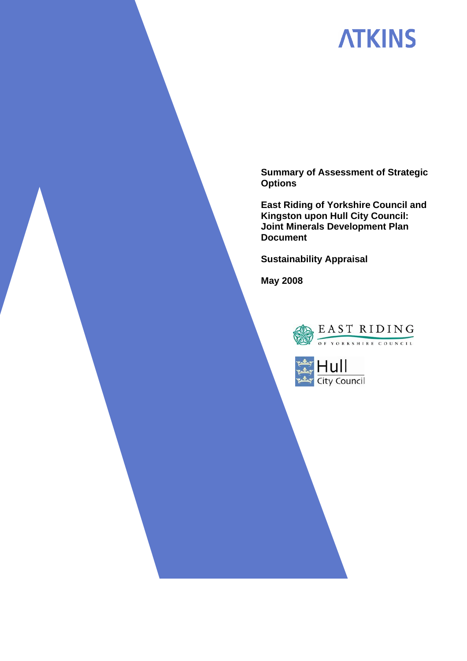# **ATKINS**

**Summary of Assessment of Strategic Options** 

**East Riding of Yorkshire Council and Kingston upon Hull City Council: Joint Minerals Development Plan Document** 

**Sustainability Appraisal** 

**May 2008** 



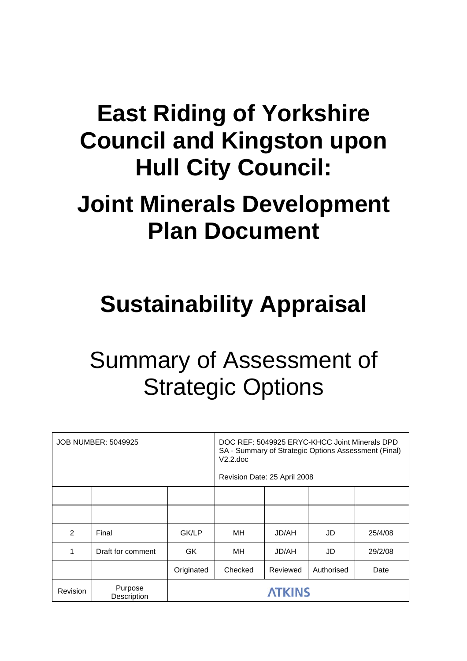## **East Riding of Yorkshire Council and Kingston upon Hull City Council:**

## **Joint Minerals Development Plan Document**

# **Sustainability Appraisal**

|               | <b>JOB NUMBER: 5049925</b> |            | DOC REF: 5049925 ERYC-KHCC Joint Minerals DPD<br>SA - Summary of Strategic Options Assessment (Final)<br>$V2.2$ .doc<br>Revision Date: 25 April 2008 |               |            |         |  |  |  |  |  |  |
|---------------|----------------------------|------------|------------------------------------------------------------------------------------------------------------------------------------------------------|---------------|------------|---------|--|--|--|--|--|--|
|               |                            |            |                                                                                                                                                      |               |            |         |  |  |  |  |  |  |
|               |                            |            |                                                                                                                                                      |               |            |         |  |  |  |  |  |  |
| $\mathcal{P}$ | Final                      | GK/LP      | MН                                                                                                                                                   | <b>JD/AH</b>  | JD         | 25/4/08 |  |  |  |  |  |  |
| 1             | Draft for comment          | GK.        | MН                                                                                                                                                   | <b>JD/AH</b>  | JD         | 29/2/08 |  |  |  |  |  |  |
|               |                            | Originated | Checked                                                                                                                                              | Reviewed      | Authorised | Date    |  |  |  |  |  |  |
| Revision      | Purpose<br>Description     |            |                                                                                                                                                      | <b>ATKINS</b> |            |         |  |  |  |  |  |  |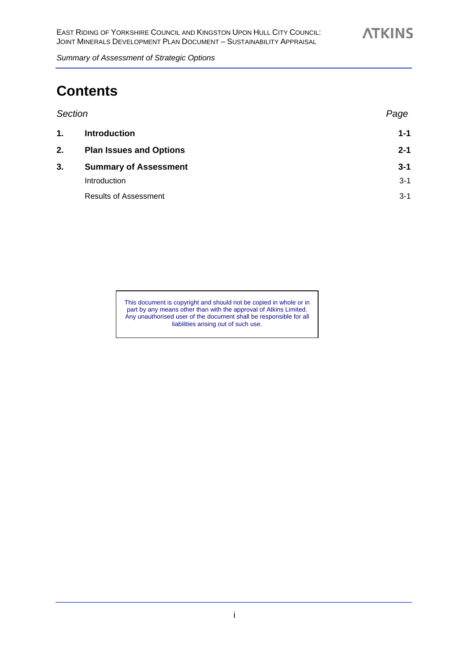## **Contents**

|    | <b>Section</b>                 | Page    |
|----|--------------------------------|---------|
| 1. | <b>Introduction</b>            | $1 - 1$ |
| 2. | <b>Plan Issues and Options</b> | $2 - 1$ |
| 3. | <b>Summary of Assessment</b>   | $3 - 1$ |
|    | Introduction                   | $3 - 1$ |
|    | <b>Results of Assessment</b>   | $3 - 1$ |

This document is copyright and should not be copied in whole or in part by any means other than with the approval of Atkins Limited. Any unauthorised user of the document shall be responsible for all liabilities arising out of such use.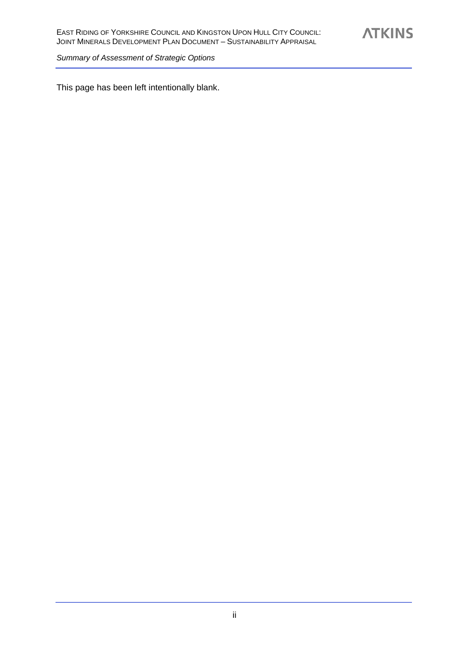This page has been left intentionally blank.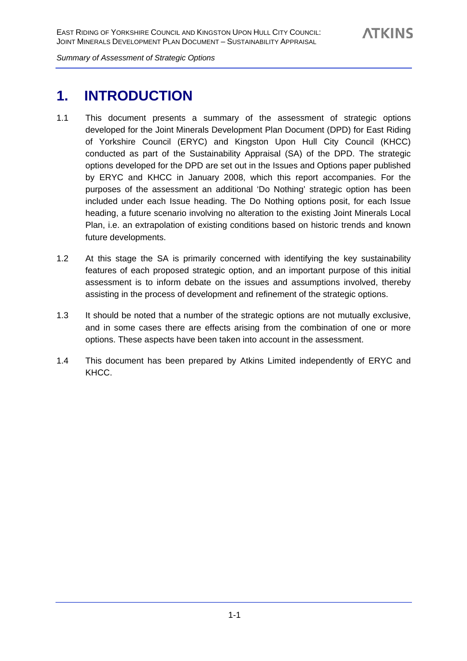### **1. INTRODUCTION**

- 1.1 This document presents a summary of the assessment of strategic options developed for the Joint Minerals Development Plan Document (DPD) for East Riding of Yorkshire Council (ERYC) and Kingston Upon Hull City Council (KHCC) conducted as part of the Sustainability Appraisal (SA) of the DPD. The strategic options developed for the DPD are set out in the Issues and Options paper published by ERYC and KHCC in January 2008, which this report accompanies. For the purposes of the assessment an additional 'Do Nothing' strategic option has been included under each Issue heading. The Do Nothing options posit, for each Issue heading, a future scenario involving no alteration to the existing Joint Minerals Local Plan, i.e. an extrapolation of existing conditions based on historic trends and known future developments.
- 1.2 At this stage the SA is primarily concerned with identifying the key sustainability features of each proposed strategic option, and an important purpose of this initial assessment is to inform debate on the issues and assumptions involved, thereby assisting in the process of development and refinement of the strategic options.
- 1.3 It should be noted that a number of the strategic options are not mutually exclusive, and in some cases there are effects arising from the combination of one or more options. These aspects have been taken into account in the assessment.
- 1.4 This document has been prepared by Atkins Limited independently of ERYC and KHCC.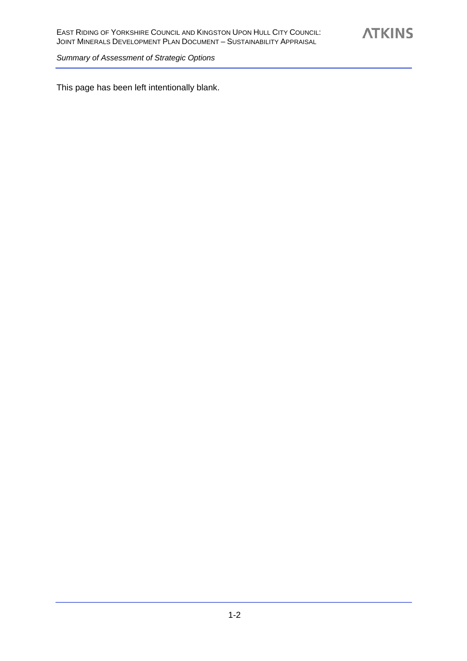This page has been left intentionally blank.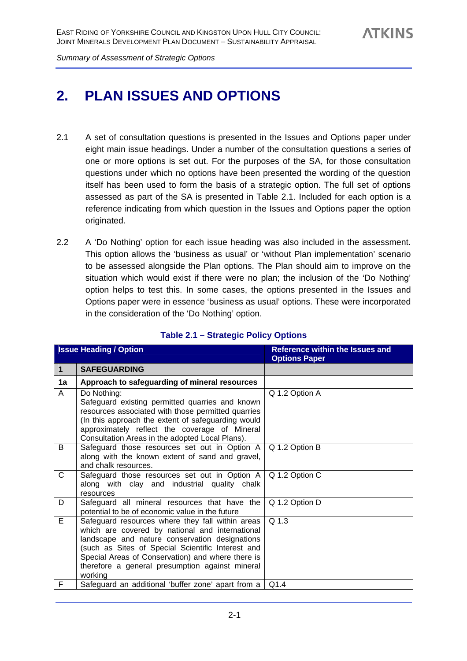### **2. PLAN ISSUES AND OPTIONS**

- 2.1 A set of consultation questions is presented in the Issues and Options paper under eight main issue headings. Under a number of the consultation questions a series of one or more options is set out. For the purposes of the SA, for those consultation questions under which no options have been presented the wording of the question itself has been used to form the basis of a strategic option. The full set of options assessed as part of the SA is presented in Table 2.1. Included for each option is a reference indicating from which question in the Issues and Options paper the option originated.
- 2.2 A 'Do Nothing' option for each issue heading was also included in the assessment. This option allows the 'business as usual' or 'without Plan implementation' scenario to be assessed alongside the Plan options. The Plan should aim to improve on the situation which would exist if there were no plan; the inclusion of the 'Do Nothing' option helps to test this. In some cases, the options presented in the Issues and Options paper were in essence 'business as usual' options. These were incorporated in the consideration of the 'Do Nothing' option.

|              | <b>Issue Heading / Option</b>                                                                                                                                                                                                                                                                                                 | <b>Reference within the Issues and</b><br><b>Options Paper</b> |
|--------------|-------------------------------------------------------------------------------------------------------------------------------------------------------------------------------------------------------------------------------------------------------------------------------------------------------------------------------|----------------------------------------------------------------|
| $\mathbf{1}$ | <b>SAFEGUARDING</b>                                                                                                                                                                                                                                                                                                           |                                                                |
| 1a           | Approach to safeguarding of mineral resources                                                                                                                                                                                                                                                                                 |                                                                |
| A            | Do Nothing:<br>Safeguard existing permitted quarries and known<br>resources associated with those permitted quarries<br>(In this approach the extent of safeguarding would<br>approximately reflect the coverage of Mineral<br>Consultation Areas in the adopted Local Plans).                                                | Q 1.2 Option A                                                 |
| B            | Safeguard those resources set out in Option A<br>along with the known extent of sand and gravel,<br>and chalk resources.                                                                                                                                                                                                      | Q 1.2 Option B                                                 |
| C            | Safeguard those resources set out in Option A<br>along with clay and industrial quality chalk<br>resources                                                                                                                                                                                                                    | Q 1.2 Option C                                                 |
| D            | Safeguard all mineral resources that have the<br>potential to be of economic value in the future                                                                                                                                                                                                                              | Q 1.2 Option D                                                 |
| E            | Safeguard resources where they fall within areas<br>which are covered by national and international<br>landscape and nature conservation designations<br>(such as Sites of Special Scientific Interest and<br>Special Areas of Conservation) and where there is<br>therefore a general presumption against mineral<br>working | Q 1.3                                                          |
| F            | Safeguard an additional 'buffer zone' apart from a                                                                                                                                                                                                                                                                            | Q <sub>1.4</sub>                                               |

#### **Table 2.1 – Strategic Policy Options**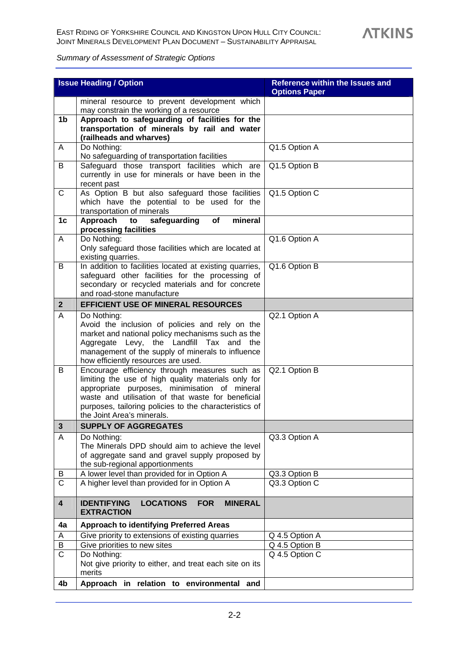

|                         | <b>Issue Heading / Option</b>                                                                                                                                                                                                                                                                       | <b>Reference within the Issues and</b><br><b>Options Paper</b> |
|-------------------------|-----------------------------------------------------------------------------------------------------------------------------------------------------------------------------------------------------------------------------------------------------------------------------------------------------|----------------------------------------------------------------|
|                         | mineral resource to prevent development which<br>may constrain the working of a resource                                                                                                                                                                                                            |                                                                |
| 1 <sub>b</sub>          | Approach to safeguarding of facilities for the<br>transportation of minerals by rail and water<br>(railheads and wharves)                                                                                                                                                                           |                                                                |
| A                       | Do Nothing:<br>No safeguarding of transportation facilities                                                                                                                                                                                                                                         | Q1.5 Option A                                                  |
| B                       | Safeguard those transport facilities which are<br>currently in use for minerals or have been in the<br>recent past                                                                                                                                                                                  | Q1.5 Option B                                                  |
| C                       | As Option B but also safeguard those facilities<br>which have the potential to be used for the<br>transportation of minerals                                                                                                                                                                        | Q1.5 Option C                                                  |
| 1 <sub>c</sub>          | safeguarding<br>mineral<br>Approach<br>of<br>to<br>processing facilities                                                                                                                                                                                                                            |                                                                |
| A                       | Do Nothing:<br>Only safeguard those facilities which are located at<br>existing quarries.                                                                                                                                                                                                           | Q1.6 Option A                                                  |
| B                       | In addition to facilities located at existing quarries,<br>safeguard other facilities for the processing of<br>secondary or recycled materials and for concrete<br>and road-stone manufacture                                                                                                       | Q1.6 Option B                                                  |
| $\overline{2}$          | <b>EFFICIENT USE OF MINERAL RESOURCES</b>                                                                                                                                                                                                                                                           |                                                                |
| A                       | Do Nothing:<br>Avoid the inclusion of policies and rely on the<br>market and national policy mechanisms such as the<br>Aggregate Levy, the Landfill Tax and<br>the<br>management of the supply of minerals to influence<br>how efficiently resources are used.                                      | Q2.1 Option A                                                  |
| B                       | Encourage efficiency through measures such as<br>limiting the use of high quality materials only for<br>appropriate purposes, minimisation of mineral<br>waste and utilisation of that waste for beneficial<br>purposes, tailoring policies to the characteristics of<br>the Joint Area's minerals. | Q2.1 Option B                                                  |
| 3                       | <b>SUPPLY OF AGGREGATES</b>                                                                                                                                                                                                                                                                         |                                                                |
| A                       | Do Nothing:<br>The Minerals DPD should aim to achieve the level<br>of aggregate sand and gravel supply proposed by<br>the sub-regional apportionments                                                                                                                                               | Q3.3 Option A                                                  |
| B                       | A lower level than provided for in Option A                                                                                                                                                                                                                                                         | Q3.3 Option B                                                  |
| $\overline{\text{C}}$   | A higher level than provided for in Option A                                                                                                                                                                                                                                                        | Q3.3 Option C                                                  |
| $\overline{\mathbf{4}}$ | <b>LOCATIONS</b><br><b>FOR</b><br><b>IDENTIFYING</b><br><b>MINERAL</b><br><b>EXTRACTION</b>                                                                                                                                                                                                         |                                                                |
| 4a                      | <b>Approach to identifying Preferred Areas</b>                                                                                                                                                                                                                                                      |                                                                |
| A                       | Give priority to extensions of existing quarries                                                                                                                                                                                                                                                    | Q 4.5 Option A                                                 |
| Β                       | Give priorities to new sites                                                                                                                                                                                                                                                                        | Q 4.5 Option B                                                 |
| $\overline{\text{c}}$   | Do Nothing:<br>Not give priority to either, and treat each site on its<br>merits                                                                                                                                                                                                                    | Q 4.5 Option C                                                 |
| 4b                      | Approach in relation to environmental and                                                                                                                                                                                                                                                           |                                                                |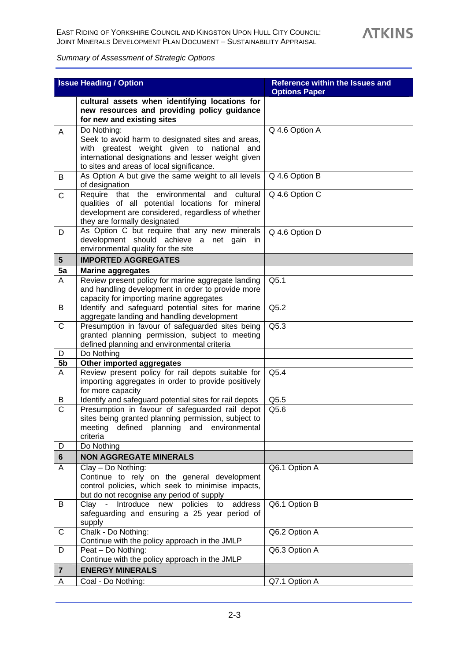

|                                | <b>Issue Heading / Option</b>                                                                                                                                                                                     | <b>Reference within the Issues and</b><br><b>Options Paper</b> |
|--------------------------------|-------------------------------------------------------------------------------------------------------------------------------------------------------------------------------------------------------------------|----------------------------------------------------------------|
|                                | cultural assets when identifying locations for<br>new resources and providing policy guidance<br>for new and existing sites                                                                                       |                                                                |
| A                              | Do Nothing:<br>Seek to avoid harm to designated sites and areas,<br>with greatest weight given to national and<br>international designations and lesser weight given<br>to sites and areas of local significance. | Q 4.6 Option A                                                 |
| B                              | As Option A but give the same weight to all levels<br>of designation                                                                                                                                              | Q 4.6 Option B                                                 |
| $\mathsf{C}$                   | Require that the environmental and cultural<br>qualities of all potential locations for mineral<br>development are considered, regardless of whether<br>they are formally designated                              | Q 4.6 Option C                                                 |
| D                              | As Option C but require that any new minerals<br>development should achieve a net gain<br>in.<br>environmental quality for the site                                                                               | Q 4.6 Option D                                                 |
| 5 <sup>5</sup>                 | <b>IMPORTED AGGREGATES</b>                                                                                                                                                                                        |                                                                |
| 5a                             | <b>Marine aggregates</b>                                                                                                                                                                                          |                                                                |
| A                              | Review present policy for marine aggregate landing<br>and handling development in order to provide more<br>capacity for importing marine aggregates                                                               | Q5.1                                                           |
| B                              | Identify and safeguard potential sites for marine<br>aggregate landing and handling development                                                                                                                   | Q5.2                                                           |
| $\overline{\text{c}}$          | Presumption in favour of safeguarded sites being<br>granted planning permission, subject to meeting<br>defined planning and environmental criteria                                                                | Q5.3                                                           |
| D                              | Do Nothing                                                                                                                                                                                                        |                                                                |
| 5 <sub>b</sub><br>$\mathsf{A}$ | Other imported aggregates<br>Review present policy for rail depots suitable for                                                                                                                                   | Q5.4                                                           |
|                                | importing aggregates in order to provide positively<br>for more capacity                                                                                                                                          |                                                                |
| B                              | Identify and safeguard potential sites for rail depots                                                                                                                                                            | Q5.5                                                           |
| $\overline{C}$                 | Presumption in favour of safeguarded rail depot<br>sites being granted planning permission, subject to<br>meeting<br>defined planning and<br>environmental<br>criteria                                            | Q5.6                                                           |
| D                              | Do Nothing                                                                                                                                                                                                        |                                                                |
| $6\phantom{a}$                 | <b>NON AGGREGATE MINERALS</b>                                                                                                                                                                                     |                                                                |
| A                              | Clay - Do Nothing:<br>Continue to rely on the general development<br>control policies, which seek to minimise impacts,<br>but do not recognise any period of supply                                               | Q6.1 Option A                                                  |
| В                              | policies to<br>address<br>Clay - Introduce new<br>safeguarding and ensuring a 25 year period of<br>supply                                                                                                         | Q6.1 Option B                                                  |
| C                              | Chalk - Do Nothing:<br>Continue with the policy approach in the JMLP                                                                                                                                              | Q6.2 Option A                                                  |
| D                              | Peat - Do Nothing:<br>Continue with the policy approach in the JMLP                                                                                                                                               | Q6.3 Option A                                                  |
| $\overline{7}$                 | <b>ENERGY MINERALS</b>                                                                                                                                                                                            |                                                                |
| Α                              | Coal - Do Nothing:                                                                                                                                                                                                | Q7.1 Option A                                                  |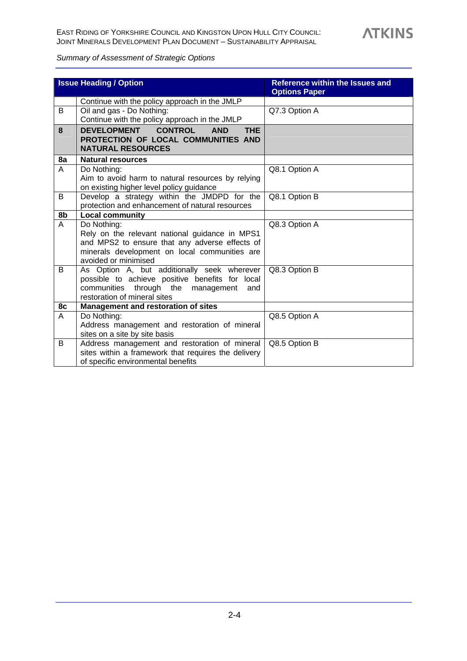

|                | <b>Issue Heading / Option</b>                                    | <b>Reference within the Issues and</b> |
|----------------|------------------------------------------------------------------|----------------------------------------|
|                |                                                                  | <b>Options Paper</b>                   |
|                | Continue with the policy approach in the JMLP                    |                                        |
| B              | Oil and gas - Do Nothing:                                        | Q7.3 Option A                          |
|                | Continue with the policy approach in the JMLP                    |                                        |
| 8              | <b>DEVELOPMENT</b><br><b>CONTROL</b><br><b>AND</b><br><b>THE</b> |                                        |
|                | PROTECTION OF LOCAL COMMUNITIES AND                              |                                        |
|                | <b>NATURAL RESOURCES</b>                                         |                                        |
| 8a             | <b>Natural resources</b>                                         |                                        |
| A              | Do Nothing:                                                      | Q8.1 Option A                          |
|                | Aim to avoid harm to natural resources by relying                |                                        |
|                | on existing higher level policy guidance                         |                                        |
| B              | Develop a strategy within the JMDPD for the                      | Q8.1 Option B                          |
|                | protection and enhancement of natural resources                  |                                        |
| 8 <sub>b</sub> | Local community                                                  |                                        |
| A              | Do Nothing:                                                      | Q8.3 Option A                          |
|                | Rely on the relevant national guidance in MPS1                   |                                        |
|                | and MPS2 to ensure that any adverse effects of                   |                                        |
|                | minerals development on local communities are                    |                                        |
|                | avoided or minimised                                             |                                        |
| B              | As Option A, but additionally seek wherever                      | Q8.3 Option B                          |
|                | possible to achieve positive benefits for local                  |                                        |
|                | communities through the management<br>and                        |                                        |
|                | restoration of mineral sites                                     |                                        |
| 8c             | <b>Management and restoration of sites</b>                       |                                        |
| A              | Do Nothing:                                                      | Q8.5 Option A                          |
|                | Address management and restoration of mineral                    |                                        |
|                | sites on a site by site basis                                    |                                        |
| B              | Address management and restoration of mineral                    | Q8.5 Option B                          |
|                | sites within a framework that requires the delivery              |                                        |
|                | of specific environmental benefits                               |                                        |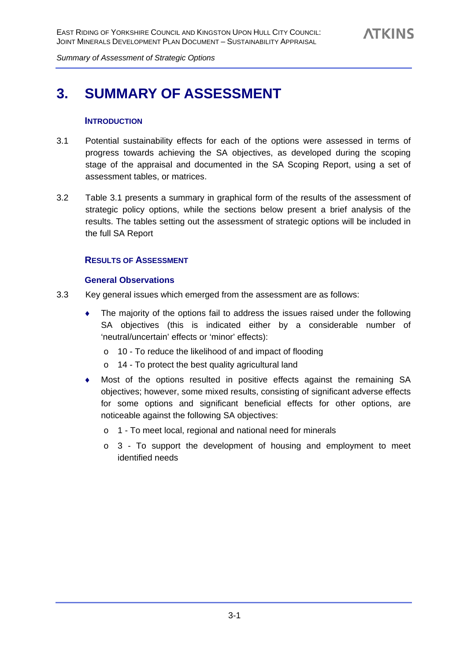### **3. SUMMARY OF ASSESSMENT**

#### **INTRODUCTION**

- 3.1 Potential sustainability effects for each of the options were assessed in terms of progress towards achieving the SA objectives, as developed during the scoping stage of the appraisal and documented in the SA Scoping Report, using a set of assessment tables, or matrices.
- 3.2 Table 3.1 presents a summary in graphical form of the results of the assessment of strategic policy options, while the sections below present a brief analysis of the results. The tables setting out the assessment of strategic options will be included in the full SA Report

#### **RESULTS OF ASSESSMENT**

#### **General Observations**

- 3.3 Key general issues which emerged from the assessment are as follows:
	- The majority of the options fail to address the issues raised under the following SA objectives (this is indicated either by a considerable number of 'neutral/uncertain' effects or 'minor' effects):
		- o 10 To reduce the likelihood of and impact of flooding
		- o 14 To protect the best quality agricultural land
	- Most of the options resulted in positive effects against the remaining SA objectives; however, some mixed results, consisting of significant adverse effects for some options and significant beneficial effects for other options, are noticeable against the following SA objectives:
		- o 1 To meet local, regional and national need for minerals
		- o 3 To support the development of housing and employment to meet identified needs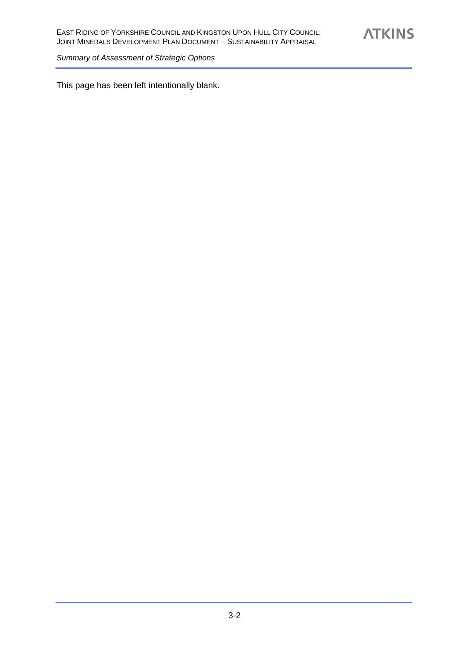

This page has been left intentionally blank.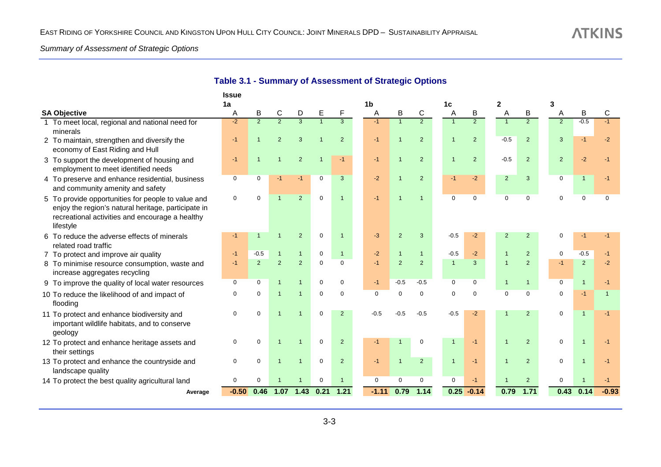|                                                                                                                                                                           | <b>Issue</b> |                |                |                |             |                |                |                |                |                |                |                      |                |             |                |         |
|---------------------------------------------------------------------------------------------------------------------------------------------------------------------------|--------------|----------------|----------------|----------------|-------------|----------------|----------------|----------------|----------------|----------------|----------------|----------------------|----------------|-------------|----------------|---------|
|                                                                                                                                                                           | 1a           |                |                |                |             |                | 1 <sub>b</sub> |                |                | 1 <sub>c</sub> |                | 2                    |                | 3           |                |         |
| <b>SA Objective</b>                                                                                                                                                       | Α            | B              | C              | D              | E           | F              | Α              | B              | C              | Α              | B              | A                    | B              | Α           | B              | С       |
| 1 To meet local, regional and national need for<br>minerals                                                                                                               | $-2$         | $\overline{2}$ | $\overline{2}$ | 3              |             | 3              | $-1$           |                | $\mathcal{P}$  |                | 2 <sup>1</sup> | $\overline{1}$       | $\overline{2}$ | 2           | $-0.5$         | $-1$    |
| 2 To maintain, strengthen and diversify the<br>economy of East Riding and Hull                                                                                            | -1           |                | $\mathfrak{p}$ | 3              |             | 2              | $-1$           |                | 2              |                | $\overline{2}$ | $-0.5$               | 2              | 3           | $-1$           | $-2$    |
| 3 To support the development of housing and<br>employment to meet identified needs                                                                                        | $-1$         |                |                | $\overline{2}$ |             | $-1$           | $-1$           | $\overline{1}$ | 2              | $\overline{1}$ | 2              | $-0.5$               | 2              | 2           | $-2$           |         |
| 4 To preserve and enhance residential, business<br>and community amenity and safety                                                                                       | $\mathbf 0$  | $\mathbf 0$    | $-1$           | $-1$           | $\Omega$    | 3              | $-2$           |                | 2              | $-1$           | $-2$           | $2^{\circ}$          | 3              | $\Omega$    | $\overline{1}$ |         |
| 5 To provide opportunities for people to value and<br>enjoy the region's natural heritage, participate in<br>recreational activities and encourage a healthy<br>lifestyle | $\Omega$     | $\Omega$       |                | $\overline{2}$ | $\mathbf 0$ |                | $-1$           |                | $\overline{1}$ | $\Omega$       | $\mathbf 0$    | $\mathbf 0$          | $\Omega$       | O           | $\Omega$       |         |
| 6 To reduce the adverse effects of minerals<br>related road traffic                                                                                                       | $-1$         | $\overline{1}$ |                | $\overline{2}$ | $\mathbf 0$ |                | $-3$           | $\overline{2}$ | 3              | $-0.5$         | $-2$           | 2                    | $\overline{2}$ | $\Omega$    | $-1$           |         |
| 7 To protect and improve air quality                                                                                                                                      | $-1$         | $-0.5$         |                | $\overline{1}$ | 0           | $\overline{1}$ | $-2$           | $\mathbf{1}$   | $\overline{1}$ | $-0.5$         | $-2$           | $\overline{1}$       | $\overline{2}$ | 0           | $-0.5$         |         |
| 8 To minimise resource consumption, waste and<br>increase aggregates recycling                                                                                            | $-1$         | 2              | 2              | $\overline{2}$ | $\mathbf 0$ | $\Omega$       | $-1$           | 2              | 2              |                | 3              | $\overline{1}$       | $\overline{2}$ | $-1$        | 2              | $-2$    |
| 9 To improve the quality of local water resources                                                                                                                         | $\mathbf 0$  | $\mathbf 0$    |                | $\overline{1}$ | $\mathbf 0$ | 0              | $-1$           | $-0.5$         | $-0.5$         | $\mathbf 0$    | $\mathbf 0$    | $\overline{1}$       |                | $\mathbf 0$ | $\mathbf{1}$   |         |
| 10 To reduce the likelihood of and impact of<br>flooding                                                                                                                  | $\Omega$     | $\Omega$       |                | $\overline{1}$ | $\mathbf 0$ | $\Omega$       | $\mathbf 0$    | $\mathbf 0$    | $\Omega$       | $\Omega$       | $\Omega$       | $\Omega$             | $\Omega$       | $\Omega$    | $-1$           |         |
| 11 To protect and enhance biodiversity and<br>important wildlife habitats, and to conserve<br>geology                                                                     | $\Omega$     | $\Omega$       |                | $\overline{1}$ | $\Omega$    | $\mathcal{P}$  | $-0.5$         | $-0.5$         | $-0.5$         | $-0.5$         | $-2$           |                      | $\mathcal{P}$  | $\Omega$    | $\mathbf{1}$   |         |
| 12 To protect and enhance heritage assets and<br>their settings                                                                                                           | $\mathbf 0$  | 0              |                | $\overline{1}$ | 0           | 2              | $-1$           |                | $\Omega$       |                | $-1$           | $\blacktriangleleft$ | 2              | $\mathbf 0$ | $\overline{1}$ |         |
| 13 To protect and enhance the countryside and<br>landscape quality                                                                                                        | $\mathbf 0$  | $\mathbf 0$    |                | $\overline{1}$ | $\mathbf 0$ | 2              | $-1$           | $\overline{1}$ | 2              |                | $-1$           | $\overline{1}$       | $\overline{2}$ | $\Omega$    | $\overline{1}$ |         |
| 14 To protect the best quality agricultural land                                                                                                                          | $\Omega$     | 0              |                |                | 0           |                | $\mathbf 0$    | 0              | 0              | 0              | $-1$           | $\overline{1}$       | $\mathcal{P}$  | $\Omega$    |                |         |
| Average                                                                                                                                                                   | $-0.50$      | 0.46           | 1.07           | 1.43           | 0.21        | 1.21           | $-1.11$        | 0.79           | 1.14           | 0.25           | $-0.14$        | 0.79                 | 1.71           | 0.43        | 0.14           | $-0.93$ |

#### **Table 3.1 - Summary of Assessment of Strategic Options**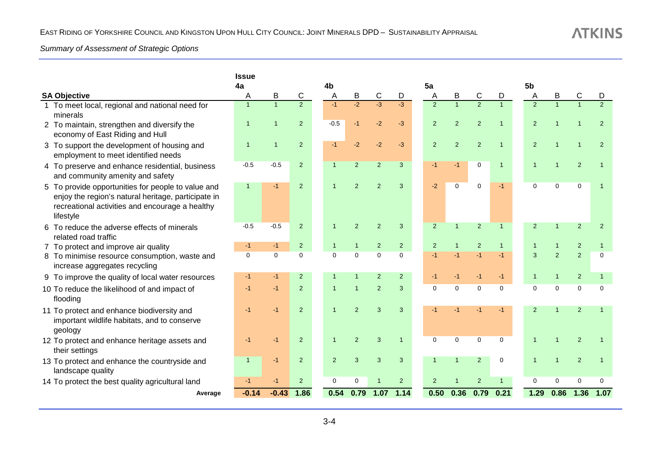### **ATKINS**

|                                                                                                                                                                           | <b>Issue</b> |                      |                |                      |              |                |                |                |                      |                |                |                |             |                |                |
|---------------------------------------------------------------------------------------------------------------------------------------------------------------------------|--------------|----------------------|----------------|----------------------|--------------|----------------|----------------|----------------|----------------------|----------------|----------------|----------------|-------------|----------------|----------------|
|                                                                                                                                                                           | 4a           |                      |                | 4b                   |              |                |                | 5a             |                      |                |                | 5b             |             |                |                |
| <b>SA Objective</b>                                                                                                                                                       | Α            | B                    | С              | A                    | B            | $\mathbf C$    | D              | Α              | B                    | C              | D              | A              | B           | С              | D              |
| 1 To meet local, regional and national need for<br>minerals                                                                                                               | $\mathbf{1}$ |                      | 2              | $-1$                 | $-2$         | $-3$           | $-3$           | 2              | $\overline{1}$       | $\overline{2}$ | $\overline{1}$ | 2              |             |                | $\mathcal{P}$  |
| 2 To maintain, strengthen and diversify the<br>economy of East Riding and Hull                                                                                            |              |                      | 2              | $-0.5$               | $-1$         | $-2$           | $-3$           | $\overline{2}$ | $\overline{2}$       | 2              | $\overline{1}$ | $\overline{2}$ |             |                | 2              |
| 3 To support the development of housing and<br>employment to meet identified needs                                                                                        | 1            | $\blacktriangleleft$ | $\overline{2}$ | $-1$                 | $-2$         | $-2$           | $-3$           | 2              | 2                    | $\overline{2}$ | $\overline{1}$ | 2              |             |                | 2              |
| 4 To preserve and enhance residential, business<br>and community amenity and safety                                                                                       | $-0.5$       | $-0.5$               | 2              | $\mathbf{1}$         | 2            | 2              | 3              | $-1$           | $-1$                 | $\mathbf 0$    | $\mathbf{1}$   | $\overline{1}$ |             | 2              |                |
| 5 To provide opportunities for people to value and<br>enjoy the region's natural heritage, participate in<br>recreational activities and encourage a healthy<br>lifestyle | 1            | $-1$                 | 2              | $\overline{1}$       | 2            | 2              | 3              | $-2$           | $\mathbf 0$          | $\Omega$       | $-1$           | $\Omega$       | $\Omega$    | $\Omega$       |                |
| 6 To reduce the adverse effects of minerals<br>related road traffic                                                                                                       | $-0.5$       | $-0.5$               | 2              | $\mathbf 1$          | 2            | 2              | 3              | $\overline{2}$ | $\blacktriangleleft$ | 2              | $\overline{1}$ | 2              |             | 2              | 2              |
| 7 To protect and improve air quality                                                                                                                                      | -1           | $-1$                 | $\overline{2}$ | $\mathbf{1}$         | $\mathbf{1}$ | $\overline{c}$ | $\overline{2}$ | $\overline{2}$ | $\mathbf{1}$         | $\overline{2}$ | $\mathbf{1}$   | $\overline{1}$ |             | $\overline{2}$ |                |
| 8 To minimise resource consumption, waste and<br>increase aggregates recycling                                                                                            | $\Omega$     | $\Omega$             | $\mathbf 0$    | $\Omega$             | $\Omega$     | $\Omega$       | $\Omega$       | $-1$           | $-1$                 | $-1$           | $-1$           | 3              | 2           | 2              | $\Omega$       |
| 9 To improve the quality of local water resources                                                                                                                         | $-1$         | -1                   | $\overline{2}$ |                      |              | $\overline{2}$ | $\overline{2}$ | $-1$           | $-1$                 | $-1$           | $-1$           | $\mathbf{1}$   | 1           | $\overline{2}$ | $\overline{1}$ |
| 10 To reduce the likelihood of and impact of<br>flooding                                                                                                                  | $-1$         | $-1$                 | 2              | $\overline{1}$       |              | $\overline{2}$ | 3              | $\Omega$       | $\Omega$             | $\Omega$       | $\Omega$       | $\Omega$       | $\Omega$    | $\Omega$       | $\Omega$       |
| 11 To protect and enhance biodiversity and<br>important wildlife habitats, and to conserve<br>geology                                                                     |              | $-1$                 | 2              | $\blacktriangleleft$ | 2            | 3              | 3              | $-1$           | $-1$                 | $-1$           | -1             | $\overline{2}$ |             | 2              |                |
| 12 To protect and enhance heritage assets and<br>their settings                                                                                                           | $-1$         | $-1$                 | 2              | $\blacktriangleleft$ | 2            | 3              | $\overline{1}$ | $\Omega$       | $\Omega$             | $\Omega$       | $\Omega$       | $\overline{1}$ |             | $\mathcal{P}$  |                |
| 13 To protect and enhance the countryside and<br>landscape quality                                                                                                        |              | -1                   | 2              | $\overline{2}$       | 3            | 3              | 3              |                | $\mathbf{1}$         | 2              | $\mathbf 0$    | $\overline{1}$ |             | 2              |                |
| 14 To protect the best quality agricultural land                                                                                                                          | $-1$         | -1                   | $\overline{2}$ | $\mathbf 0$          | $\mathbf 0$  |                | 2              | $\overline{2}$ |                      | $\overline{2}$ | $\mathbf{1}$   | $\mathbf 0$    | $\mathbf 0$ | 0              |                |
| Average                                                                                                                                                                   | $-0.14$      | $-0.43$              | 1.86           | 0.54                 | 0.79         | 1.07           | 1.14           | 0.50           | 0.36                 | 0.79           | 0.21           | 1.29           | 0.86        | 1.36           | 1.07           |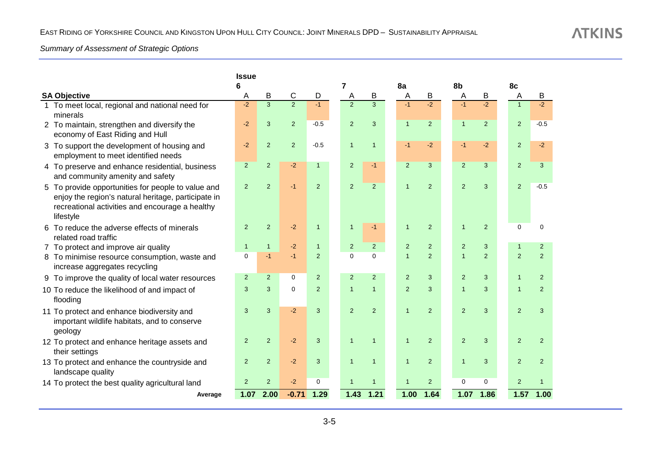### **ATKINS**

|                                                                                                                                                                           | <b>Issue</b>   |                |                |                |                |                |                |                |                |    |                |                |                |                |
|---------------------------------------------------------------------------------------------------------------------------------------------------------------------------|----------------|----------------|----------------|----------------|----------------|----------------|----------------|----------------|----------------|----|----------------|----------------|----------------|----------------|
|                                                                                                                                                                           | 6              |                |                |                | $\overline{7}$ |                |                | 8a             |                | 8b |                |                | 8c             |                |
| <b>SA Objective</b>                                                                                                                                                       | A              | В              | C              | D              |                | Α              | В              | A              | B              |    | A              | В              | A              | В              |
| 1 To meet local, regional and national need for<br>minerals                                                                                                               | $-2$           | $\overline{3}$ | $\overline{2}$ | $-1$           |                | 2 <sup>1</sup> | $\overline{3}$ | $-1$           | $-2$           |    | $-1$           | $-2$           | $\overline{1}$ | $-2$           |
| 2 To maintain, strengthen and diversify the<br>economy of East Riding and Hull                                                                                            | $-2$           | 3              | 2              | $-0.5$         |                | 2              | 3              | $\overline{1}$ | $\overline{2}$ |    | $\overline{1}$ | $\overline{2}$ | 2              | $-0.5$         |
| 3 To support the development of housing and<br>employment to meet identified needs                                                                                        | $-2$           | 2              | $\overline{2}$ | $-0.5$         |                | $\mathbf{1}$   | $\mathbf{1}$   | $-1$           | $-2$           |    | $-1$           | $-2$           | 2              | $-2$           |
| 4 To preserve and enhance residential, business<br>and community amenity and safety                                                                                       | 2              | 2              | $-2$           | 1              |                | 2              | $-1$           | $\overline{2}$ | 3              |    | 2              | 3              | 2              | 3              |
| 5 To provide opportunities for people to value and<br>enjoy the region's natural heritage, participate in<br>recreational activities and encourage a healthy<br>lifestyle | 2              | 2              | $-1$           | 2              |                | 2              | 2              | $\mathbf{1}$   | 2              |    | 2              | 3              | 2              | $-0.5$         |
| 6 To reduce the adverse effects of minerals<br>related road traffic                                                                                                       | 2              | 2              | $-2$           | $\mathbf{1}$   |                | $\mathbf{1}$   | $-1$           | $\mathbf{1}$   | 2              |    | $\overline{1}$ | 2              | $\Omega$       | $\Omega$       |
| 7 To protect and improve air quality                                                                                                                                      | $\overline{1}$ | $\mathbf{1}$   | $-2$           | $\mathbf{1}$   |                | $\overline{2}$ | 2 <sup>2</sup> | $\overline{2}$ | $\overline{2}$ |    | 2              | 3              | $\mathbf 1$    | 2              |
| 8 To minimise resource consumption, waste and<br>increase aggregates recycling                                                                                            | $\Omega$       | $-1$           | $-1$           | $\overline{2}$ |                | $\Omega$       | $\mathbf 0$    | $\mathbf{1}$   | $\overline{2}$ |    | $\mathbf{1}$   | $\overline{2}$ | 2              | 2              |
| 9 To improve the quality of local water resources                                                                                                                         | 2              | 2              | $\mathbf 0$    | $\overline{2}$ |                | $\overline{2}$ | $\overline{2}$ | $\overline{2}$ | 3              |    | 2              | 3              | $\mathbf{1}$   | $\overline{2}$ |
| 10 To reduce the likelihood of and impact of<br>flooding                                                                                                                  | 3              | 3              | $\mathbf 0$    | $\overline{2}$ |                | $\mathbf{1}$   | $\mathbf{1}$   | $\overline{2}$ | 3              |    | $\mathbf{1}$   | 3              | $\overline{1}$ | 2              |
| 11 To protect and enhance biodiversity and<br>important wildlife habitats, and to conserve<br>geology                                                                     | 3              | 3              | $-2$           | 3              |                | 2              | 2              | $\mathbf{1}$   | 2              |    | 2              | 3              | 2              | 3              |
| 12 To protect and enhance heritage assets and<br>their settings                                                                                                           | 2              | 2              | $-2$           | 3              |                | $\mathbf{1}$   | $\mathbf{1}$   | $\mathbf{1}$   | 2              |    | 2              | 3              | 2              | 2              |
| 13 To protect and enhance the countryside and<br>landscape quality                                                                                                        | 2              | 2              | $-2$           | 3              |                | $\mathbf{1}$   | $\mathbf{1}$   | $\mathbf{1}$   | $\overline{2}$ |    | $\overline{1}$ | 3              | 2              | 2              |
| 14 To protect the best quality agricultural land                                                                                                                          | 2              | $\overline{2}$ | $-2$           | $\mathbf 0$    |                | $\mathbf{1}$   | $\mathbf{1}$   | $\mathbf{1}$   | $\overline{2}$ |    | $\mathbf 0$    | $\mathbf 0$    | $\overline{2}$ | $\mathbf{1}$   |
| Average                                                                                                                                                                   | 1.07           | 2.00           | $-0.71$        | 1.29           |                | 1.43           | 1.21           | 1.00           | 1.64           |    | 1.07           | 1.86           | 1.57           | 1.00           |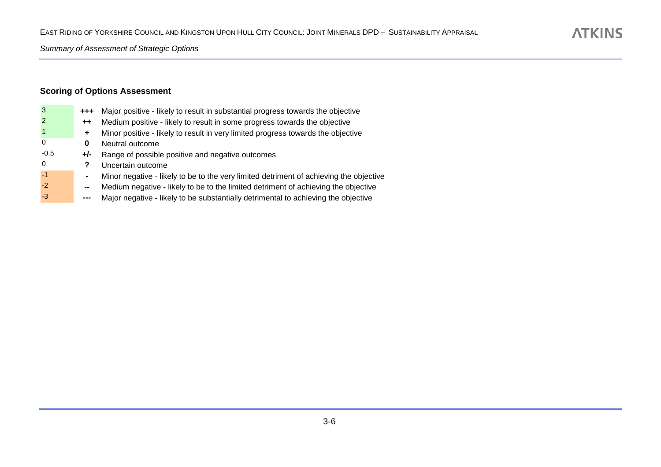#### **Scoring of Options Assessment**

| 3              | $+++$     | Major positive - likely to result in substantial progress towards the objective        |
|----------------|-----------|----------------------------------------------------------------------------------------|
| 2              | $++$      | Medium positive - likely to result in some progress towards the objective              |
| $\overline{1}$ | $\ddot{}$ | Minor positive - likely to result in very limited progress towards the objective       |
| $\Omega$       | 0         | Neutral outcome                                                                        |
| $-0.5$         | $+/-$     | Range of possible positive and negative outcomes                                       |
| $\Omega$       |           | Uncertain outcome                                                                      |
| $-1$           |           | Minor negative - likely to be to the very limited detriment of achieving the objective |
| $-2$           | --        | Medium negative - likely to be to the limited detriment of achieving the objective     |
| $-3$           |           | Major negative - likely to be substantially detrimental to achieving the objective     |

 **---**Major negative - likely to be substantially detrimental to achieving the objective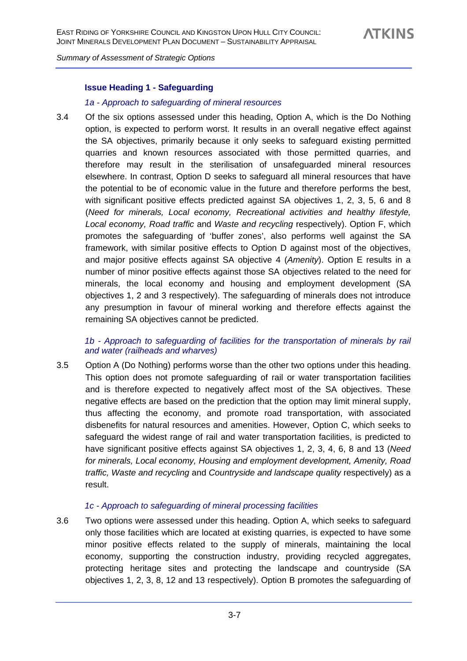#### **Issue Heading 1 - Safeguarding**

#### *1a - Approach to safeguarding of mineral resources*

3.4 Of the six options assessed under this heading, Option A, which is the Do Nothing option, is expected to perform worst. It results in an overall negative effect against the SA objectives, primarily because it only seeks to safeguard existing permitted quarries and known resources associated with those permitted quarries, and therefore may result in the sterilisation of unsafeguarded mineral resources elsewhere. In contrast, Option D seeks to safeguard all mineral resources that have the potential to be of economic value in the future and therefore performs the best, with significant positive effects predicted against SA objectives 1, 2, 3, 5, 6 and 8 (*Need for minerals, Local economy, Recreational activities and healthy lifestyle, Local economy, Road traffic* and *Waste and recycling* respectively). Option F, which promotes the safeguarding of 'buffer zones', also performs well against the SA framework, with similar positive effects to Option D against most of the objectives, and major positive effects against SA objective 4 (*Amenity*). Option E results in a number of minor positive effects against those SA objectives related to the need for minerals, the local economy and housing and employment development (SA objectives 1, 2 and 3 respectively). The safeguarding of minerals does not introduce any presumption in favour of mineral working and therefore effects against the remaining SA objectives cannot be predicted.

#### *1b - Approach to safeguarding of facilities for the transportation of minerals by rail and water (railheads and wharves)*

3.5 Option A (Do Nothing) performs worse than the other two options under this heading. This option does not promote safeguarding of rail or water transportation facilities and is therefore expected to negatively affect most of the SA objectives. These negative effects are based on the prediction that the option may limit mineral supply, thus affecting the economy, and promote road transportation, with associated disbenefits for natural resources and amenities. However, Option C, which seeks to safeguard the widest range of rail and water transportation facilities, is predicted to have significant positive effects against SA objectives 1, 2, 3, 4, 6, 8 and 13 (*Need for minerals, Local economy, Housing and employment development, Amenity, Road traffic, Waste and recycling* and *Countryside and landscape quality* respectively) as a result.

#### *1c - Approach to safeguarding of mineral processing facilities*

3.6 Two options were assessed under this heading. Option A, which seeks to safeguard only those facilities which are located at existing quarries, is expected to have some minor positive effects related to the supply of minerals, maintaining the local economy, supporting the construction industry, providing recycled aggregates, protecting heritage sites and protecting the landscape and countryside (SA objectives 1, 2, 3, 8, 12 and 13 respectively). Option B promotes the safeguarding of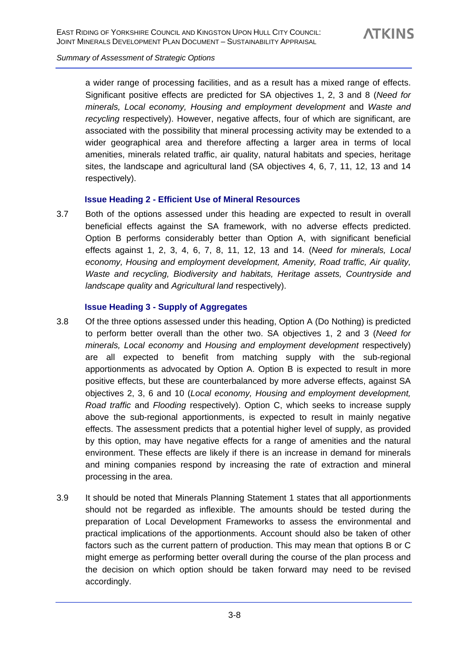a wider range of processing facilities, and as a result has a mixed range of effects. Significant positive effects are predicted for SA objectives 1, 2, 3 and 8 (*Need for minerals, Local economy, Housing and employment development* and *Waste and recycling* respectively). However, negative affects, four of which are significant, are associated with the possibility that mineral processing activity may be extended to a wider geographical area and therefore affecting a larger area in terms of local amenities, minerals related traffic, air quality, natural habitats and species, heritage sites, the landscape and agricultural land (SA objectives 4, 6, 7, 11, 12, 13 and 14 respectively).

#### **Issue Heading 2 - Efficient Use of Mineral Resources**

3.7 Both of the options assessed under this heading are expected to result in overall beneficial effects against the SA framework, with no adverse effects predicted. Option B performs considerably better than Option A, with significant beneficial effects against 1, 2, 3, 4, 6, 7, 8, 11, 12, 13 and 14. (*Need for minerals, Local economy, Housing and employment development, Amenity, Road traffic, Air quality, Waste and recycling, Biodiversity and habitats, Heritage assets, Countryside and landscape quality* and *Agricultural land* respectively).

#### **Issue Heading 3 - Supply of Aggregates**

- 3.8 Of the three options assessed under this heading, Option A (Do Nothing) is predicted to perform better overall than the other two. SA objectives 1, 2 and 3 (*Need for minerals, Local economy* and *Housing and employment development* respectively) are all expected to benefit from matching supply with the sub-regional apportionments as advocated by Option A. Option B is expected to result in more positive effects, but these are counterbalanced by more adverse effects, against SA objectives 2, 3, 6 and 10 (*Local economy, Housing and employment development, Road traffic* and *Flooding* respectively). Option C, which seeks to increase supply above the sub-regional apportionments, is expected to result in mainly negative effects. The assessment predicts that a potential higher level of supply, as provided by this option, may have negative effects for a range of amenities and the natural environment. These effects are likely if there is an increase in demand for minerals and mining companies respond by increasing the rate of extraction and mineral processing in the area.
- 3.9 It should be noted that Minerals Planning Statement 1 states that all apportionments should not be regarded as inflexible. The amounts should be tested during the preparation of Local Development Frameworks to assess the environmental and practical implications of the apportionments. Account should also be taken of other factors such as the current pattern of production. This may mean that options B or C might emerge as performing better overall during the course of the plan process and the decision on which option should be taken forward may need to be revised accordingly.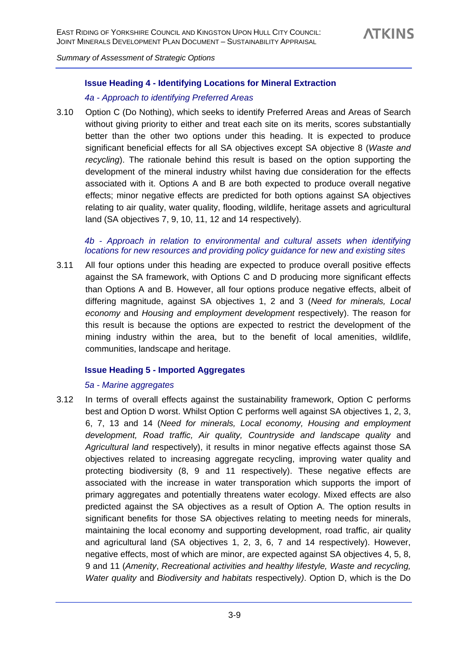#### **Issue Heading 4 - Identifying Locations for Mineral Extraction**

*4a - Approach to identifying Preferred Areas* 

3.10 Option C (Do Nothing), which seeks to identify Preferred Areas and Areas of Search without giving priority to either and treat each site on its merits, scores substantially better than the other two options under this heading. It is expected to produce significant beneficial effects for all SA objectives except SA objective 8 (*Waste and recycling*). The rationale behind this result is based on the option supporting the development of the mineral industry whilst having due consideration for the effects associated with it. Options A and B are both expected to produce overall negative effects; minor negative effects are predicted for both options against SA objectives relating to air quality, water quality, flooding, wildlife, heritage assets and agricultural land (SA objectives 7, 9, 10, 11, 12 and 14 respectively).

#### *4b - Approach in relation to environmental and cultural assets when identifying locations for new resources and providing policy guidance for new and existing sites*

3.11 All four options under this heading are expected to produce overall positive effects against the SA framework, with Options C and D producing more significant effects than Options A and B. However, all four options produce negative effects, albeit of differing magnitude, against SA objectives 1, 2 and 3 (*Need for minerals, Local economy* and *Housing and employment development* respectively). The reason for this result is because the options are expected to restrict the development of the mining industry within the area, but to the benefit of local amenities, wildlife, communities, landscape and heritage.

#### **Issue Heading 5 - Imported Aggregates**

#### *5a - Marine aggregates*

3.12 In terms of overall effects against the sustainability framework, Option C performs best and Option D worst. Whilst Option C performs well against SA objectives 1, 2, 3, 6, 7, 13 and 14 (*Need for minerals, Local economy, Housing and employment*  development, Road traffic, Air quality, Countryside and landscape quality and *Agricultural land* respectively), it results in minor negative effects against those SA objectives related to increasing aggregate recycling, improving water quality and protecting biodiversity (8, 9 and 11 respectively). These negative effects are associated with the increase in water transporation which supports the import of primary aggregates and potentially threatens water ecology. Mixed effects are also predicted against the SA objectives as a result of Option A. The option results in significant benefits for those SA objectives relating to meeting needs for minerals, maintaining the local economy and supporting development, road traffic, air quality and agricultural land (SA objectives 1, 2, 3, 6, 7 and 14 respectively). However, negative effects, most of which are minor, are expected against SA objectives 4, 5, 8, 9 and 11 (*Amenity*, *Recreational activities and healthy lifestyle, Waste and recycling, Water quality* and *Biodiversity and habitats* respectively*)*. Option D, which is the Do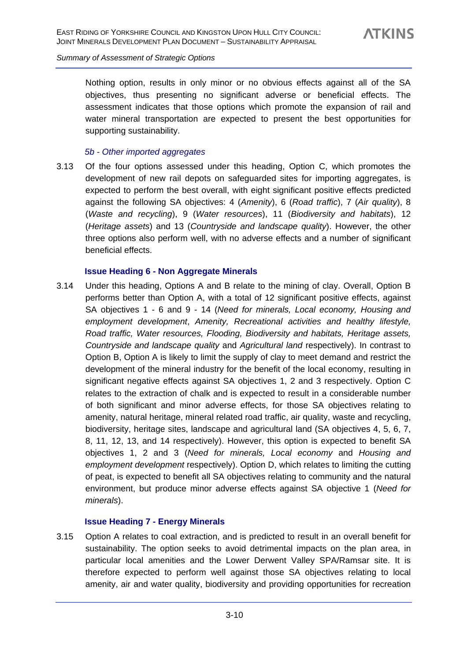Nothing option, results in only minor or no obvious effects against all of the SA objectives, thus presenting no significant adverse or beneficial effects. The assessment indicates that those options which promote the expansion of rail and water mineral transportation are expected to present the best opportunities for supporting sustainability.

#### *5b - Other imported aggregates*

3.13 Of the four options assessed under this heading, Option C, which promotes the development of new rail depots on safeguarded sites for importing aggregates, is expected to perform the best overall, with eight significant positive effects predicted against the following SA objectives: 4 (*Amenity*), 6 (*Road traffic*), 7 (*Air quality*), 8 (*Waste and recycling*), 9 (*Water resources*), 11 (*Biodiversity and habitats*), 12 (*Heritage assets*) and 13 (*Countryside and landscape quality*). However, the other three options also perform well, with no adverse effects and a number of significant beneficial effects.

#### **Issue Heading 6 - Non Aggregate Minerals**

3.14 Under this heading, Options A and B relate to the mining of clay. Overall, Option B performs better than Option A, with a total of 12 significant positive effects, against SA objectives 1 - 6 and 9 - 14 (*Need for minerals, Local economy, Housing and employment development*, *Amenity, Recreational activities and healthy lifestyle, Road traffic, Water resources, Flooding, Biodiversity and habitats, Heritage assets, Countryside and landscape quality* and *Agricultural land* respectively). In contrast to Option B, Option A is likely to limit the supply of clay to meet demand and restrict the development of the mineral industry for the benefit of the local economy, resulting in significant negative effects against SA objectives 1, 2 and 3 respectively. Option C relates to the extraction of chalk and is expected to result in a considerable number of both significant and minor adverse effects, for those SA objectives relating to amenity, natural heritage, mineral related road traffic, air quality, waste and recycling, biodiversity, heritage sites, landscape and agricultural land (SA objectives 4, 5, 6, 7, 8, 11, 12, 13, and 14 respectively). However, this option is expected to benefit SA objectives 1, 2 and 3 (*Need for minerals, Local economy* and *Housing and employment development* respectively). Option D, which relates to limiting the cutting of peat, is expected to benefit all SA objectives relating to community and the natural environment, but produce minor adverse effects against SA objective 1 (*Need for minerals*).

#### **Issue Heading 7 - Energy Minerals**

3.15 Option A relates to coal extraction, and is predicted to result in an overall benefit for sustainability. The option seeks to avoid detrimental impacts on the plan area, in particular local amenities and the Lower Derwent Valley SPA/Ramsar site. It is therefore expected to perform well against those SA objectives relating to local amenity, air and water quality, biodiversity and providing opportunities for recreation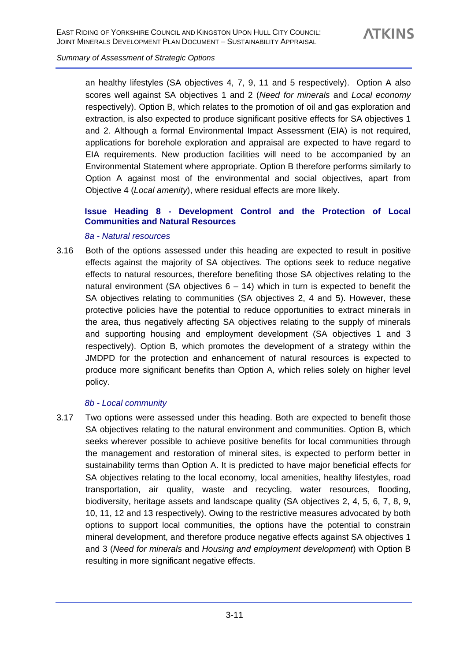an healthy lifestyles (SA objectives 4, 7, 9, 11 and 5 respectively). Option A also scores well against SA objectives 1 and 2 (*Need for minerals* and *Local economy*  respectively). Option B, which relates to the promotion of oil and gas exploration and extraction, is also expected to produce significant positive effects for SA objectives 1 and 2. Although a formal Environmental Impact Assessment (EIA) is not required, applications for borehole exploration and appraisal are expected to have regard to EIA requirements. New production facilities will need to be accompanied by an Environmental Statement where appropriate. Option B therefore performs similarly to Option A against most of the environmental and social objectives, apart from Objective 4 (*Local amenity*), where residual effects are more likely.

#### **Issue Heading 8 - Development Control and the Protection of Local Communities and Natural Resources**

#### *8a - Natural resources*

3.16 Both of the options assessed under this heading are expected to result in positive effects against the majority of SA objectives. The options seek to reduce negative effects to natural resources, therefore benefiting those SA objectives relating to the natural environment (SA objectives  $6 - 14$ ) which in turn is expected to benefit the SA objectives relating to communities (SA objectives 2, 4 and 5). However, these protective policies have the potential to reduce opportunities to extract minerals in the area, thus negatively affecting SA objectives relating to the supply of minerals and supporting housing and employment development (SA objectives 1 and 3 respectively). Option B, which promotes the development of a strategy within the JMDPD for the protection and enhancement of natural resources is expected to produce more significant benefits than Option A, which relies solely on higher level policy.

#### *8b - Local community*

3.17 Two options were assessed under this heading. Both are expected to benefit those SA objectives relating to the natural environment and communities. Option B, which seeks wherever possible to achieve positive benefits for local communities through the management and restoration of mineral sites, is expected to perform better in sustainability terms than Option A. It is predicted to have major beneficial effects for SA objectives relating to the local economy, local amenities, healthy lifestyles, road transportation, air quality, waste and recycling, water resources, flooding, biodiversity, heritage assets and landscape quality (SA objectives 2, 4, 5, 6, 7, 8, 9, 10, 11, 12 and 13 respectively). Owing to the restrictive measures advocated by both options to support local communities, the options have the potential to constrain mineral development, and therefore produce negative effects against SA objectives 1 and 3 (*Need for minerals* and *Housing and employment development*) with Option B resulting in more significant negative effects.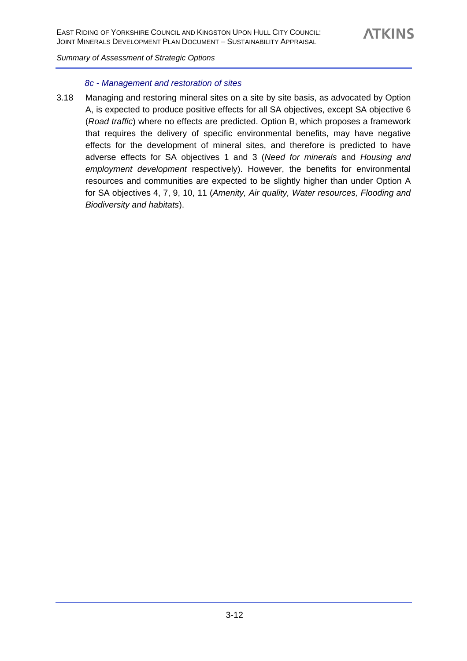#### *8c - Management and restoration of sites*

3.18 Managing and restoring mineral sites on a site by site basis, as advocated by Option A, is expected to produce positive effects for all SA objectives, except SA objective 6 (*Road traffic*) where no effects are predicted. Option B, which proposes a framework that requires the delivery of specific environmental benefits, may have negative effects for the development of mineral sites, and therefore is predicted to have adverse effects for SA objectives 1 and 3 (*Need for minerals* and *Housing and employment development* respectively). However, the benefits for environmental resources and communities are expected to be slightly higher than under Option A for SA objectives 4, 7, 9, 10, 11 (*Amenity, Air quality, Water resources, Flooding and Biodiversity and habitats*).